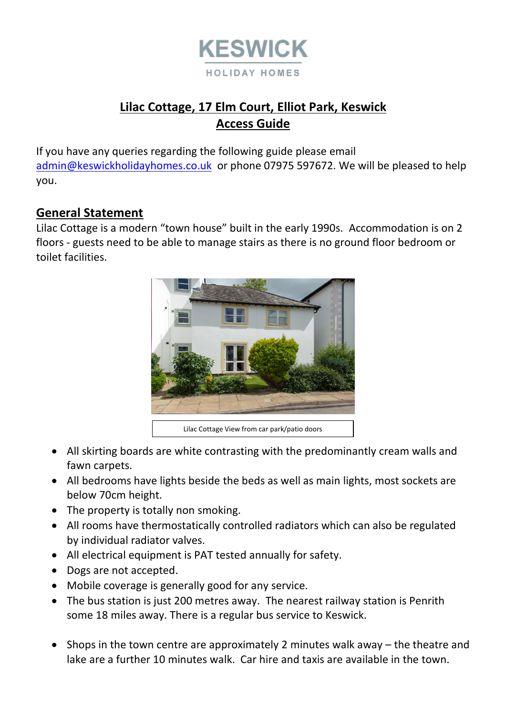

# **Lilac Cottage, 17 Elm Court, Elliot Park, Keswick Access Guide**

If you have any queries regarding the following guide please email [admin@keswickholidayhomes.co.uk](mailto:admin@keswickholidayhomes.co.uk) or phone 07975 597672. We will be pleased to help you.

#### **General Statement**

Lilac Cottage is a modern "town house" built in the early 1990s. Accommodation is on 2 floors - guests need to be able to manage stairs as there is no ground floor bedroom or toilet facilities.



- All skirting boards are white contrasting with the predominantly cream walls and fawn carpets.
- All bedrooms have lights beside the beds as well as main lights, most sockets are below 70cm height.
- The property is totally non smoking.
- All rooms have thermostatically controlled radiators which can also be regulated by individual radiator valves.
- All electrical equipment is PAT tested annually for safety.
- Dogs are not accepted.
- Mobile coverage is generally good for any service.
- The bus station is just 200 metres away. The nearest railway station is Penrith some 18 miles away. There is a regular bus service to Keswick.
- Shops in the town centre are approximately 2 minutes walk away the theatre and lake are a further 10 minutes walk. Car hire and taxis are available in the town.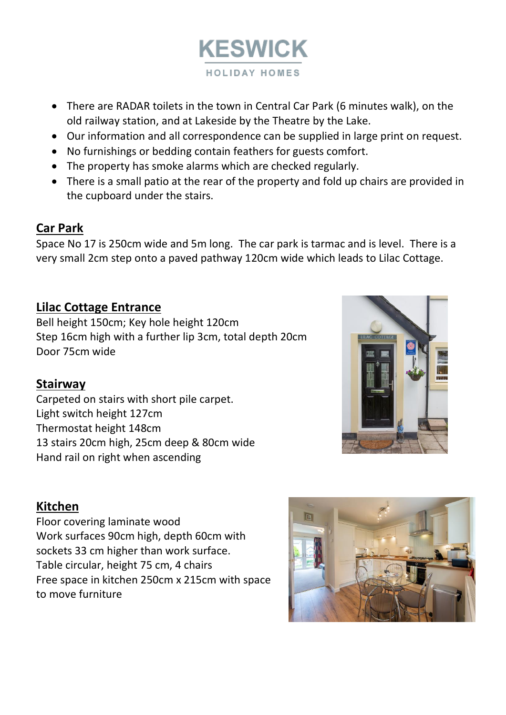

- There are RADAR toilets in the town in Central Car Park (6 minutes walk), on the old railway station, and at Lakeside by the Theatre by the Lake.
- Our information and all correspondence can be supplied in large print on request.
- No furnishings or bedding contain feathers for guests comfort.
- The property has smoke alarms which are checked regularly.
- There is a small patio at the rear of the property and fold up chairs are provided in the cupboard under the stairs.

#### **Car Park**

Space No 17 is 250cm wide and 5m long. The car park is tarmac and is level. There is a very small 2cm step onto a paved pathway 120cm wide which leads to Lilac Cottage.

## **Lilac Cottage Entrance**

Bell height 150cm; Key hole height 120cm Step 16cm high with a further lip 3cm, total depth 20cm Door 75cm wide

## **Stairway**

Carpeted on stairs with short pile carpet. Light switch height 127cm Thermostat height 148cm 13 stairs 20cm high, 25cm deep & 80cm wide Hand rail on right when ascending



## **Kitchen**

Floor covering laminate wood Work surfaces 90cm high, depth 60cm with sockets 33 cm higher than work surface. Table circular, height 75 cm, 4 chairs Free space in kitchen 250cm x 215cm with space to move furniture

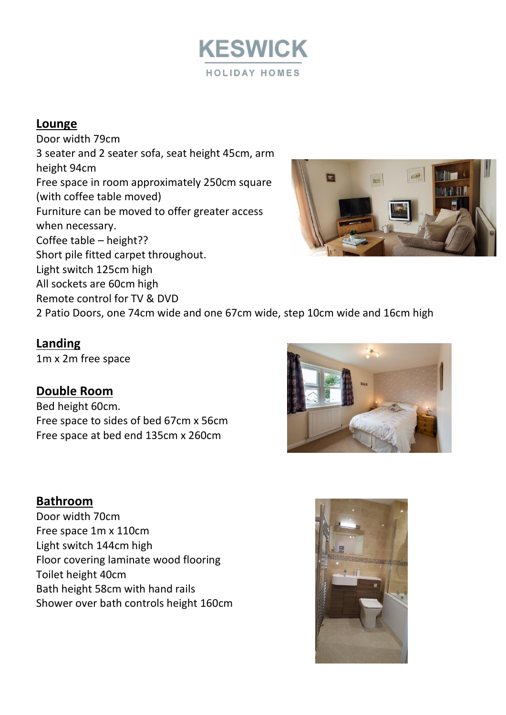

### **Lounge**

Door width 79cm 3 seater and 2 seater sofa, seat height 45cm, arm height 94cm Free space in room approximately 250cm square (with coffee table moved) Furniture can be moved to offer greater access when necessary. Coffee table – height?? Short pile fitted carpet throughout. Light switch 125cm high All sockets are 60cm high Remote control for TV & DVD 2 Patio Doors, one 74cm wide and one 67cm wide, step 10cm wide and 16cm high



#### **Landing**

1m x 2m free space

#### **Double Room**

Bed height 60cm. Free space to sides of bed 67cm x 56cm Free space at bed end 135cm x 260cm

#### **Bathroom** Door width 70cm Free space 1m x 110cm Light switch 144cm high Floor covering laminate wood flooring Toilet height 40cm Bath height 58cm with hand rails Shower over bath controls height 160cm